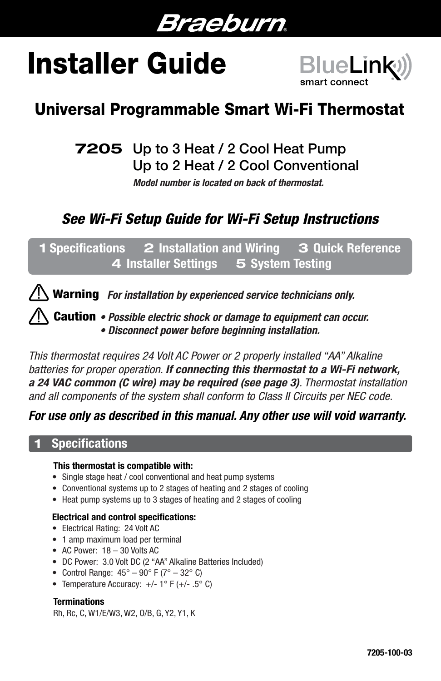

# Installer Guide



# Universal Programmable Smart Wi-Fi Thermostat

7205 Up to 3 Heat / 2 Cool Heat Pump Up to 2 Heat / 2 Cool Conventional

*Model number is located on back of thermostat.*

# *See Wi-Fi Setup Guide for Wi-Fi Setup Instructions*

1 Specifications 2 Installation and Wiring 3 Quick Reference 4 Installer Settings 5 System Testing



*• Possible electric shock or damage to equipment can occur.* Caution *• Disconnect power before beginning installation.*

*This thermostat requires 24 Volt AC Power or 2 properly installed "AA" Alkaline batteries for proper operation. If connecting this thermostat to a Wi-Fi network, a 24 VAC common (C wire) may be required (see page 3). Thermostat installation and all components of the system shall conform to Class II Circuits per NEC code.*

## *For use only as described in this manual. Any other use will void warranty.*

## **Specifications**

Í

#### This thermostat is compatible with:

- Single stage heat / cool conventional and heat pump systems
- Conventional systems up to 2 stages of heating and 2 stages of cooling
- Heat pump systems up to 3 stages of heating and 2 stages of cooling

#### Electrical and control specifications:

- Electrical Rating: 24 Volt AC
- 1 amp maximum load per terminal
- AC Power: 18 30 Volts AC
- DC Power: 3.0 Volt DC (2 "AA" Alkaline Batteries Included)
- Control Range:  $45^{\circ} 90^{\circ}$  F ( $7^{\circ} 32^{\circ}$  C)
- Temperature Accuracy:  $+/- 1^{\circ}$  F ( $+/- .5^{\circ}$  C)

#### **Terminations**

Rh, Rc, C, W1/E/W3, W2, O/B, G, Y2, Y1, K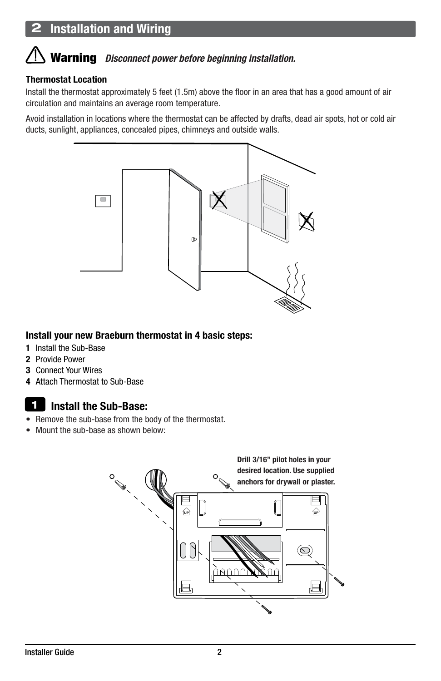# Warning *Disconnect power before beginning installation.*

#### Thermostat Location

Í

Install the thermostat approximately 5 feet (1.5m) above the floor in an area that has a good amount of air circulation and maintains an average room temperature.

Avoid installation in locations where the thermostat can be affected by drafts, dead air spots, hot or cold air ducts, sunlight, appliances, concealed pipes, chimneys and outside walls.



#### Install your new Braeburn thermostat in 4 basic steps:

- 1 Install the Sub-Base
- 2 Provide Power
- 3 Connect Your Wires
- 4 Attach Thermostat to Sub-Base

#### Install the Sub-Base: 1

- Remove the sub-base from the body of the thermostat.
- Mount the sub-base as shown below

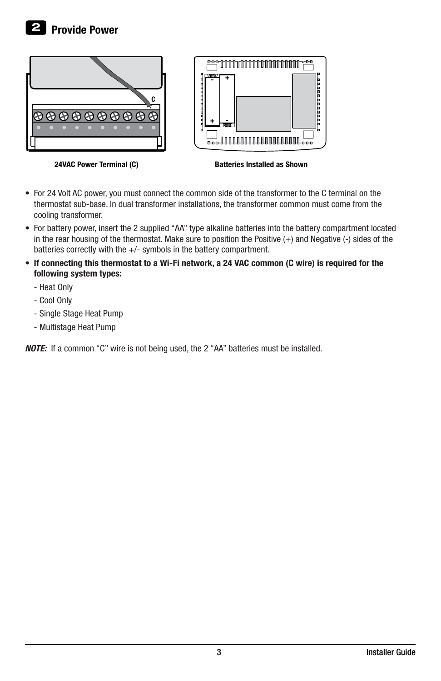

24VAC Power Terminal (C)

Batteries Installed as Shown

- For 24 Volt AC power, you must connect the common side of the transformer to the C terminal on the thermostat sub-base. In dual transformer installations, the transformer common must come from the cooling transformer.
- For battery power, insert the 2 supplied "AA" type alkaline batteries into the battery compartment located in the rear housing of the thermostat. Make sure to position the Positive (+) and Negative (-) sides of the batteries correctly with the +/- symbols in the battery compartment.
- If connecting this thermostat to a Wi-Fi network, a 24 VAC common (C wire) is required for the following system types:
	- Heat Only
	- Cool Only
	- Single Stage Heat Pump
	- Multistage Heat Pump

*NOTE:* If a common "C" wire is not being used, the 2 "AA" batteries must be installed.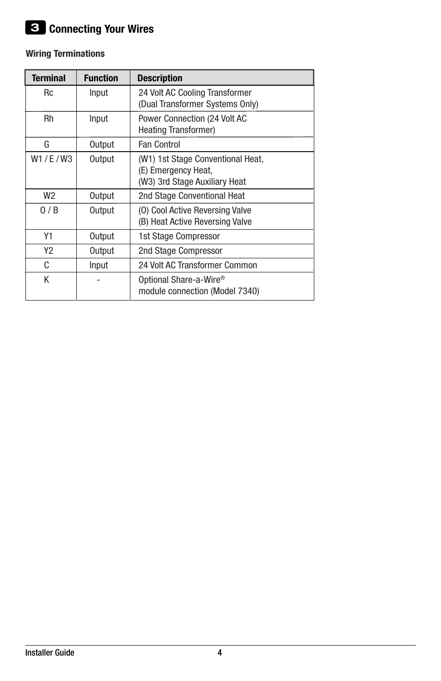## Wiring Terminations

| <b>Terminal</b> | <b>Function</b> | <b>Description</b>                                                                        |  |
|-----------------|-----------------|-------------------------------------------------------------------------------------------|--|
| Rc              | Input           | 24 Volt AC Cooling Transformer<br>(Dual Transformer Systems Only)                         |  |
| Rh              | Input           | Power Connection (24 Volt AC<br><b>Heating Transformer)</b>                               |  |
| G               | Output          | Fan Control                                                                               |  |
| W1/E/W3         | Output          | (W1) 1st Stage Conventional Heat,<br>(E) Emergency Heat,<br>(W3) 3rd Stage Auxiliary Heat |  |
| W <sub>2</sub>  | Output          | 2nd Stage Conventional Heat                                                               |  |
| 0/B             | Output          | (0) Cool Active Reversing Valve<br>(B) Heat Active Reversing Valve                        |  |
| Υ1              | Output          | 1st Stage Compressor                                                                      |  |
| Y <sub>2</sub>  | Output          | 2nd Stage Compressor                                                                      |  |
| C               | Input           | 24 Volt AC Transformer Common                                                             |  |
| Κ               |                 | Optional Share-a-Wire <sup>®</sup><br>module connection (Model 7340)                      |  |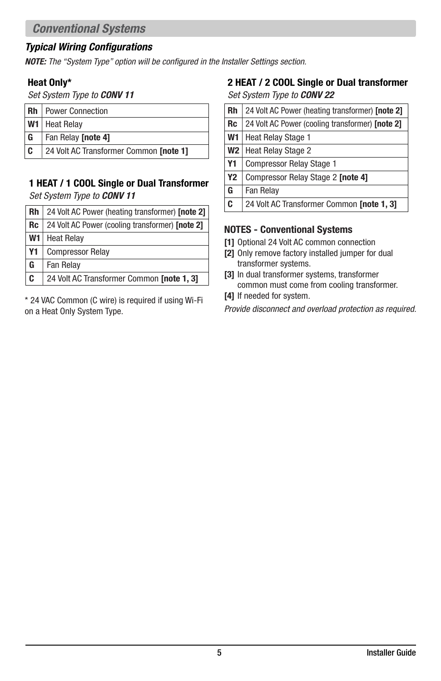## *Typical Wiring Configurations*

*NOTE: The "System Type" option will be configured in the Installer Settings section.*

#### Heat Only\*

*Set System Type to CONV 11*

| Rh | <b>Power Connection</b>                |  |  |
|----|----------------------------------------|--|--|
|    | W1   Heat Relay                        |  |  |
| G  | Fan Relay <b>[note 4]</b>              |  |  |
| c  | 24 Volt AC Transformer Common [note 1] |  |  |

#### 1 HEAT / 1 COOL Single or Dual Transformer *Set System Type to CONV 11*

| Rh             | 24 Volt AC Power (heating transformer) [note 2] |  |  |
|----------------|-------------------------------------------------|--|--|
| <b>Rc</b>      | 24 Volt AC Power (cooling transformer) [note 2] |  |  |
| W <sub>1</sub> | <b>Heat Relay</b>                               |  |  |
| <b>Y1</b>      | <b>Compressor Relay</b>                         |  |  |
| G              | Fan Relay                                       |  |  |
| C              | 24 Volt AC Transformer Common [note 1, 3]       |  |  |

\* 24 VAC Common (C wire) is required if using Wi-Fi on a Heat Only System Type.

#### 2 HEAT / 2 COOL Single or Dual transformer *Set System Type to CONV 22*

| <b>Rh</b>      | 24 Volt AC Power (heating transformer) [note 2] |  |  |
|----------------|-------------------------------------------------|--|--|
| <b>Rc</b>      | 24 Volt AC Power (cooling transformer) [note 2] |  |  |
| W <sub>1</sub> | <b>Heat Relay Stage 1</b>                       |  |  |
| W2             | <b>Heat Relay Stage 2</b>                       |  |  |
| <b>Y1</b>      | <b>Compressor Relay Stage 1</b>                 |  |  |
| <b>Y2</b>      | Compressor Relay Stage 2 [note 4]               |  |  |
| G              | Fan Relay                                       |  |  |
| C              | 24 Volt AC Transformer Common [note 1, 3]       |  |  |

## NOTES - Conventional Systems

- [1] Optional 24 Volt AC common connection
- [2] Only remove factory installed jumper for dual transformer systems.
- [3] In dual transformer systems, transformer common must come from cooling transformer.
- [4] If needed for system.

*Provide disconnect and overload protection as required.*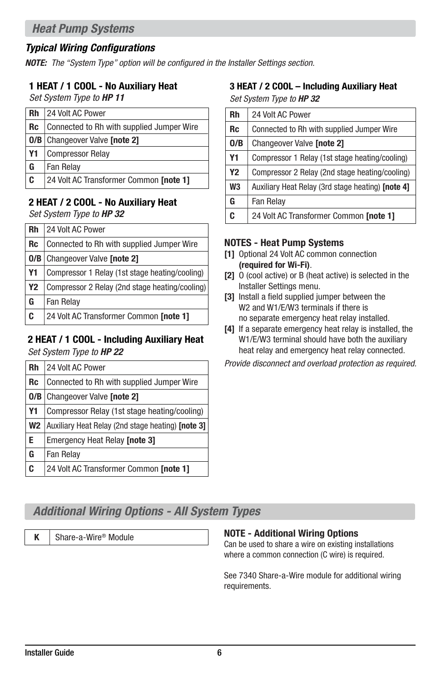## *Typical Wiring Configurations*

*NOTE: The "System Type" option will be configured in the Installer Settings section.*

#### 1 HEAT / 1 COOL - No Auxiliary Heat

*Set System Type to HP 11*

| Rh        | 24 Volt AC Power                          |  |  |
|-----------|-------------------------------------------|--|--|
| <b>Rc</b> | Connected to Rh with supplied Jumper Wire |  |  |
|           | <b>0/B</b> Changeover Valve [note 2]      |  |  |
| <b>Y1</b> | <b>Compressor Relay</b>                   |  |  |
| G         | <b>Fan Relay</b>                          |  |  |
| C         | 24 Volt AC Transformer Common [note 1]    |  |  |

## 2 HEAT / 2 COOL - No Auxiliary Heat

*Set System Type to HP 32*

| <b>Rh</b> | 24 Volt AC Power                               |  |  |
|-----------|------------------------------------------------|--|--|
| <b>Rc</b> | Connected to Rh with supplied Jumper Wire      |  |  |
| 0/B       | Changeover Valve [note 2]                      |  |  |
| Υ1        | Compressor 1 Relay (1st stage heating/cooling) |  |  |
| <b>Y2</b> | Compressor 2 Relay (2nd stage heating/cooling) |  |  |
| G         | Fan Relay                                      |  |  |
| C         | 24 Volt AC Transformer Common [note 1]         |  |  |

# 2 HEAT / 1 COOL - Including Auxiliary Heat

*Set System Type to HP 22*

| Rh        | 24 Volt AC Power                                  |  |  |
|-----------|---------------------------------------------------|--|--|
| Rc        | Connected to Rh with supplied Jumper Wire         |  |  |
| 0/B       | Changeover Valve [note 2]                         |  |  |
| Y1        | Compressor Relay (1st stage heating/cooling)      |  |  |
| <b>W2</b> | Auxiliary Heat Relay (2nd stage heating) [note 3] |  |  |
| E         | <b>Emergency Heat Relay [note 3]</b>              |  |  |
| G         | Fan Relay                                         |  |  |
| C         | 24 Volt AC Transformer Common [note 1]            |  |  |

#### 3 HEAT / 2 COOL – Including Auxiliary Heat *Set System Type to HP 32*

| Rh             | 24 Volt AC Power                                  |  |  |
|----------------|---------------------------------------------------|--|--|
| <b>Rc</b>      | Connected to Rh with supplied Jumper Wire         |  |  |
| 0/B            | Changeover Valve [note 2]                         |  |  |
| Υ1             | Compressor 1 Relay (1st stage heating/cooling)    |  |  |
| Y <sub>2</sub> | Compressor 2 Relay (2nd stage heating/cooling)    |  |  |
| W <sub>3</sub> | Auxiliary Heat Relay (3rd stage heating) [note 4] |  |  |
| G              | Fan Relay                                         |  |  |
| C              | 24 Volt AC Transformer Common [note 1]            |  |  |

#### NOTES - Heat Pump Systems

- [1] Optional 24 Volt AC common connection (required for Wi-Fi).
- [2] O (cool active) or B (heat active) is selected in the Installer Settings menu.
- [3] Install a field supplied jumper between the W<sub>2</sub> and W<sub>1</sub>/E/W<sub>3</sub> terminals if there is no separate emergency heat relay installed.
- [4] If a separate emergency heat relay is installed, the W1/E/W3 terminal should have both the auxiliary heat relay and emergency heat relay connected.

*Provide disconnect and overload protection as required.*

## *Additional Wiring Options - All System Types*

## K Share-a-Wire® Module **NOTE - Additional Wiring Options**

Can be used to share a wire on existing installations where a common connection (C wire) is required.

See 7340 Share-a-Wire module for additional wiring requirements.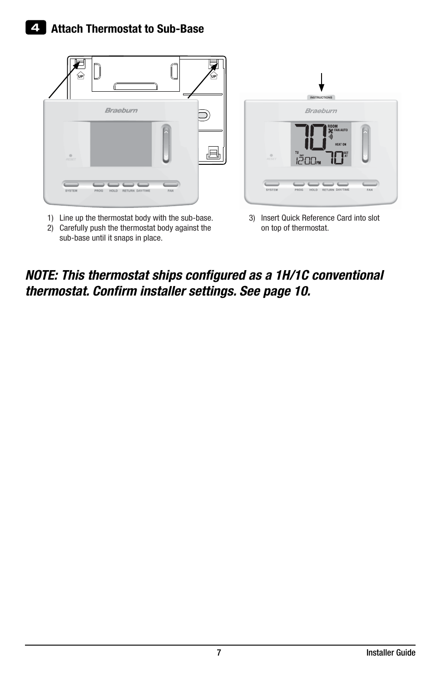

- 1) Line up the thermostat body with the sub-base.
- 2) Carefully push the thermostat body against the sub-base until it snaps in place.

|                  | <b>INSTRUCTIONS</b><br>Braeburn                                                                                                       |     |
|------------------|---------------------------------------------------------------------------------------------------------------------------------------|-----|
| $\circ$<br>RESET | <b>ROOM</b><br><b>FAN AUTO</b><br><b>HEAT ON</b><br>$\overline{\mathbb{L}^{\mathbb{Z}}\text{D}\mathbb{L}^{\mathbb{N}}}$<br><b>SET</b> |     |
| <b>SYSTEM</b>    | <b>PROG</b><br>RETURN DAY/TIME<br><b>HOLD</b>                                                                                         | FAN |

3) Insert Quick Reference Card into slot on top of thermostat.

## *NOTE: This thermostat ships configured as a 1H/1C conventional thermostat. Confirm installer settings. See page 10.*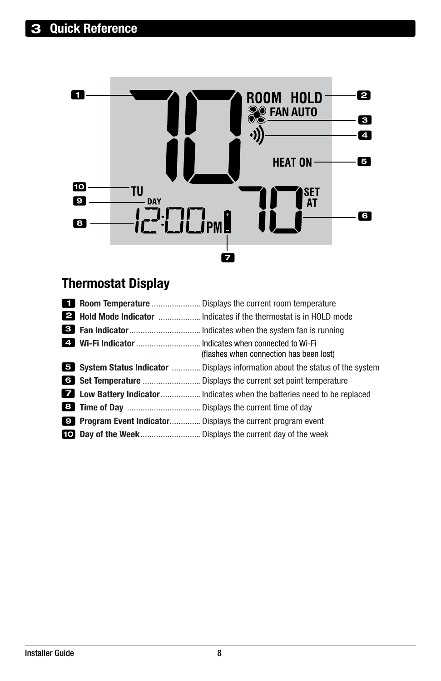

# Thermostat Display

|  | (flashes when connection has been lost)                                               |
|--|---------------------------------------------------------------------------------------|
|  | <b>5</b> System Status Indicator  Displays information about the status of the system |
|  |                                                                                       |
|  |                                                                                       |
|  |                                                                                       |
|  | <b>Program Event Indicator</b> Displays the current program event                     |
|  |                                                                                       |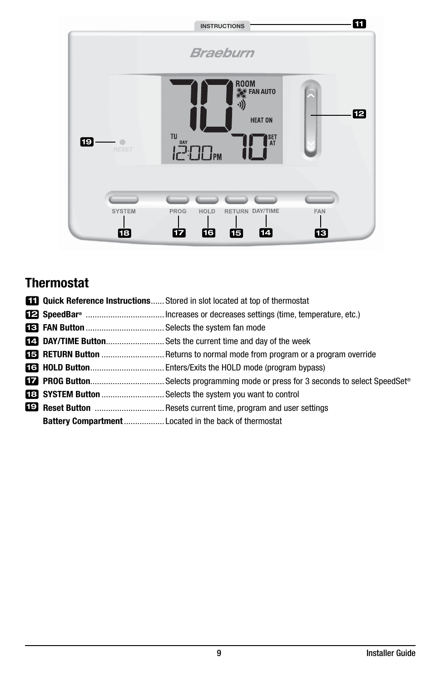

# **Thermostat**

|  | <b>EFI</b> Quick Reference Instructions Stored in slot located at top of thermostat |  |  |  |
|--|-------------------------------------------------------------------------------------|--|--|--|
|  |                                                                                     |  |  |  |
|  |                                                                                     |  |  |  |
|  | <b>12. DAY/TIME Button</b> Sets the current time and day of the week                |  |  |  |
|  | <b>ES</b> RETURN Button  Returns to normal mode from program or a program override  |  |  |  |
|  |                                                                                     |  |  |  |
|  |                                                                                     |  |  |  |
|  | <b>EED SYSTEM Button </b> Selects the system you want to control                    |  |  |  |
|  |                                                                                     |  |  |  |
|  |                                                                                     |  |  |  |
|  |                                                                                     |  |  |  |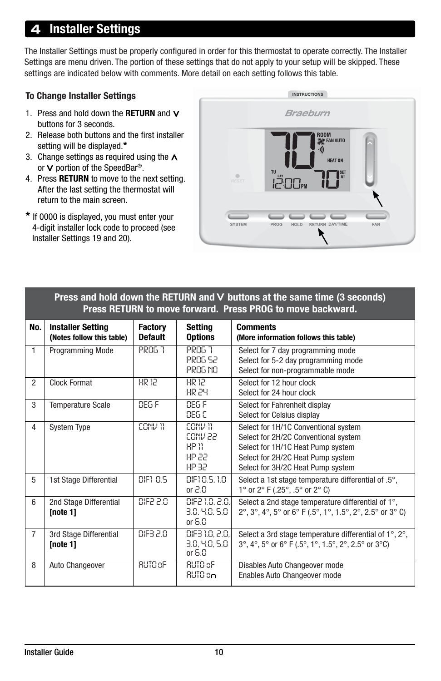# **Installer Settings**

The Installer Settings must be properly configured in order for this thermostat to operate correctly. The Installer Settings are menu driven. The portion of these settings that do not apply to your setup will be skipped. These settings are indicated below with comments. More detail on each setting follows this table.

#### To Change Installer Settings

- 1. Press and hold down the RETURN and  $V$ buttons for 3 seconds.
- 2. Release both buttons and the first installer setting will be displayed.\*
- 3. Change settings as required using the  $\Lambda$ or V portion of the SpeedBar®.
- 4. Press RETURN to move to the next setting. After the last setting the thermostat will return to the main screen.
- \* If 0000 is displayed, you must enter your 4-digit installer lock code to proceed (see Installer Settings 19 and 20).



#### Press and hold down the RETURN and  $\vee$  buttons at the same time (3 seconds) Press RETURN to move forward. Press PROG to move backward.

| No.            | <b>Installer Setting</b><br>(Notes follow this table) | <b>Factory</b><br><b>Default</b> | <b>Setting</b><br><b>Options</b>               | <b>Comments</b><br>(More information follows this table)                                                                                                                                    |
|----------------|-------------------------------------------------------|----------------------------------|------------------------------------------------|---------------------------------------------------------------------------------------------------------------------------------------------------------------------------------------------|
| 1              | Programming Mode                                      | PROG 7                           | PROG 7<br><b>PROG 52</b><br><b>PROG NO</b>     | Select for 7 day programming mode<br>Select for 5-2 day programming mode<br>Select for non-programmable mode                                                                                |
| 2              | <b>Clock Format</b>                                   | HR 12                            | HR 12<br>HR 24                                 | Select for 12 hour clock<br>Select for 24 hour clock                                                                                                                                        |
| 3              | <b>Temperature Scale</b>                              | DEG F                            | DEG F<br>866 C                                 | Select for Fahrenheit display<br>Select for Celsius display                                                                                                                                 |
| 4              | <b>System Type</b>                                    | CONV 11                          | CONV 11<br>CONV 22<br>HP 11<br>HP 22<br>HP 32. | Select for 1H/1C Conventional system<br>Select for 2H/2C Conventional system<br>Select for 1H/1C Heat Pump system<br>Select for 2H/2C Heat Pump system<br>Select for 3H/2C Heat Pump system |
| 5              | 1st Stage Differential                                | DIF1 0.5                         | DIF10.5, 1.0<br>or $2.0$                       | Select a 1st stage temperature differential of .5°,<br>1° or $2^{\circ}$ F (.25°, .5° or $2^{\circ}$ C)                                                                                     |
| 6              | 2nd Stage Differential<br>[note 1]                    | DIE2 2.0                         | DIF2 1.0, 2.0,<br>3.0, 4.0, 5.0<br>or $6.0$    | Select a 2nd stage temperature differential of 1°,<br>2°, 3°, 4°, 5° or 6° F (.5°, 1°, 1.5°, 2°, 2.5° or 3° C)                                                                              |
| $\overline{7}$ | 3rd Stage Differential<br>[note 1]                    | DIF3 2.0                         | DIF3 1.0, 2.0,<br>3.0. 4.0. 5.0<br>or $6.0$    | Select a 3rd stage temperature differential of 1°, 2°,<br>3°, 4°, 5° or 6° F (.5°, 1°, 1.5°, 2°, 2.5° or 3°C)                                                                               |
| 8              | Auto Changeover                                       | <b>RUTO oF</b>                   | RUTO oF<br>AUTO on                             | Disables Auto Changeover mode<br>Enables Auto Changeover mode                                                                                                                               |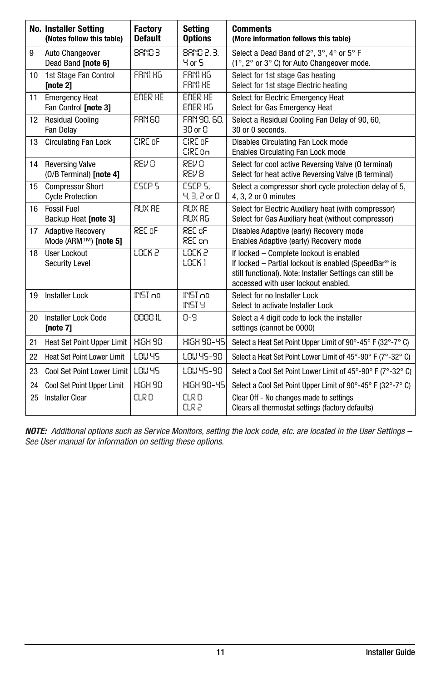|    | <b>No. Installer Setting</b><br>(Notes follow this table) | <b>Factory</b><br><b>Default</b> | <b>Setting</b><br><b>Options</b>  | <b>Comments</b><br>(More information follows this table)                                                                                                                                           |
|----|-----------------------------------------------------------|----------------------------------|-----------------------------------|----------------------------------------------------------------------------------------------------------------------------------------------------------------------------------------------------|
| 9  | Auto Changeover<br>Dead Band [note 6]                     | <b>BRND 3</b>                    | 88ND 2.3.<br>4 or 5               | Select a Dead Band of 2°, 3°, 4° or 5° F<br>(1°, 2° or 3° C) for Auto Changeover mode.                                                                                                             |
| 10 | 1st Stage Fan Control<br>[note 2]                         | FRNI HG                          | FRNI HG<br>FRINTHE                | Select for 1st stage Gas heating<br>Select for 1st stage Electric heating                                                                                                                          |
| 11 | <b>Emergency Heat</b><br>Fan Control [note 3]             | EMER HE                          | EMER HE<br>EMER HG                | Select for Electric Emergency Heat<br>Select for Gas Emergency Heat                                                                                                                                |
| 12 | <b>Residual Cooling</b><br><b>Fan Delay</b>               | <b>FRN 60</b>                    | FRN 90.60.<br>30 or 0             | Select a Residual Cooling Fan Delay of 90, 60,<br>30 or 0 seconds.                                                                                                                                 |
| 13 | <b>Circulating Fan Lock</b>                               | CIRC oF                          | CIRC OF<br>CIRE on                | Disables Circulating Fan Lock mode<br>Enables Circulating Fan Lock mode                                                                                                                            |
| 14 | <b>Reversing Valve</b><br>(O/B Terminal) [note 4]         | REV 0                            | REV 0<br>REV 8                    | Select for cool active Reversing Valve (O terminal)<br>Select for heat active Reversing Valve (B terminal)                                                                                         |
| 15 | <b>Compressor Short</b><br><b>Cycle Protection</b>        | <b>CSCP S</b>                    | <b>ESCP S.</b><br>$4.3.2$ or $0.$ | Select a compressor short cycle protection delay of 5,<br>4, 3, 2 or 0 minutes                                                                                                                     |
| 16 | <b>Fossil Fuel</b><br>Backup Heat [note 3]                | <b>RUX RE</b>                    | <b>RUX RE</b><br>RUX RG           | Select for Electric Auxiliary heat (with compressor)<br>Select for Gas Auxiliary heat (without compressor)                                                                                         |
| 17 | <b>Adaptive Recovery</b><br>Mode (ARM™) [note 5]          | REC oF                           | REC oF<br>REC on                  | Disables Adaptive (early) Recovery mode<br>Enables Adaptive (early) Recovery mode                                                                                                                  |
| 18 | User Lockout<br><b>Security Level</b>                     | LOCK 2                           | <u> LOC</u> K 2<br>LOCK 1         | If locked - Complete lockout is enabled<br>If locked - Partial lockout is enabled (SpeedBar® is<br>still functional). Note: Installer Settings can still be<br>accessed with user lockout enabled. |
| 19 | <b>Installer Lock</b>                                     | INST no                          | INST no<br>INST Y                 | Select for no Installer Lock<br>Select to activate Installer Lock                                                                                                                                  |
| 20 | Installer Lock Code<br>[note $7$ ]                        | 0000 IL                          | 0-9                               | Select a 4 digit code to lock the installer<br>settings (cannot be 0000)                                                                                                                           |
| 21 | Heat Set Point Upper Limit                                | <b>HIGH 90</b>                   | <b>HIGH 90-45</b>                 | Select a Heat Set Point Upper Limit of 90°-45° F (32°-7° C)                                                                                                                                        |
| 22 | <b>Heat Set Point Lower Limit</b>                         | LOW YS                           | LOU 45-90                         | Select a Heat Set Point Lower Limit of 45°-90° F (7°-32° C)                                                                                                                                        |
| 23 | Cool Set Point Lower Limit                                | LOW YS                           | LOW 45-90                         | Select a Cool Set Point Lower Limit of 45°-90° F (7°-32° C)                                                                                                                                        |
| 24 | Cool Set Point Upper Limit                                | <b>HIGH 90</b>                   | HIGH 90-45                        | Select a Cool Set Point Upper Limit of 90°-45° F (32°-7° C)                                                                                                                                        |
| 25 | <b>Installer Clear</b>                                    | CLR 0                            | CLR 0<br>CLR 2                    | Clear Off - No changes made to settings<br>Clears all thermostat settings (factory defaults)                                                                                                       |

*NOTE: Additional options such as Service Monitors, setting the lock code, etc. are located in the User Settings – See User manual for information on setting these options.*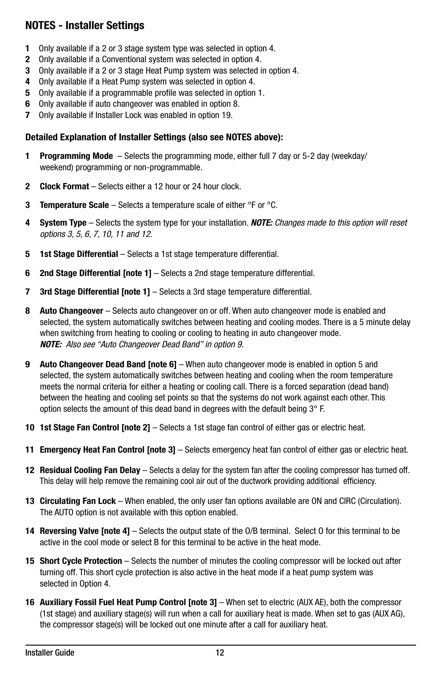## NOTES - Installer Settings

- 1 Only available if a 2 or 3 stage system type was selected in option 4.
- 2 Only available if a Conventional system was selected in option 4.
- 3 Only available if a 2 or 3 stage Heat Pump system was selected in option 4.
- 4 Only available if a Heat Pump system was selected in option 4.
- 5 Only available if a programmable profile was selected in option 1.
- 6 Only available if auto changeover was enabled in option 8.
- 7 Only available if Installer Lock was enabled in option 19.

#### Detailed Explanation of Installer Settings (also see NOTES above):

- 1 Programming Mode Selects the programming mode, either full 7 day or 5-2 day (weekday/ weekend) programming or non-programmable.
- 2 Clock Format Selects either a 12 hour or 24 hour clock.
- **3** Temperature Scale Selects a temperature scale of either  ${}^{\circ}$ F or  ${}^{\circ}$ C.
- 4 System Type Selects the system type for your installation. *NOTE: Changes made to this option will reset options 3, 5, 6, 7, 10, 11 and 12.*
- 5 1st Stage Differential Selects a 1st stage temperature differential.
- 6 2nd Stage Differential Inote 11 Selects a 2nd stage temperature differential.
- **7 3rd Stage Differential [note 1]** Selects a 3rd stage temperature differential.
- 8 Auto Changeover Selects auto changeover on or off. When auto changeover mode is enabled and selected, the system automatically switches between heating and cooling modes. There is a 5 minute delay when switching from heating to cooling or cooling to heating in auto changeover mode. *NOTE: Also see "Auto Changeover Dead Band" in option 9.*
- 9 Auto Changeover Dead Band [note 6] When auto changeover mode is enabled in option 5 and selected, the system automatically switches between heating and cooling when the room temperature meets the normal criteria for either a heating or cooling call. There is a forced separation (dead band) between the heating and cooling set points so that the systems do not work against each other. This option selects the amount of this dead band in degrees with the default being 3° F.
- 10 1st Stage Fan Control [note 2] Selects a 1st stage fan control of either gas or electric heat.
- 11 Emergency Heat Fan Control [note 3] Selects emergency heat fan control of either gas or electric heat.
- 12 Residual Cooling Fan Delay Selects a delay for the system fan after the cooling compressor has turned off. This delay will help remove the remaining cool air out of the ductwork providing additional efficiency.
- 13 Circulating Fan Lock When enabled, the only user fan options available are ON and CIRC (Circulation). The AUTO option is not available with this option enabled.
- 14 Reversing Valve Inote 41 Selects the output state of the O/B terminal. Select 0 for this terminal to be active in the cool mode or select B for this terminal to be active in the heat mode.
- 15 Short Cycle Protection Selects the number of minutes the cooling compressor will be locked out after turning off. This short cycle protection is also active in the heat mode if a heat pump system was selected in Option 4.
- 16 Auxiliary Fossil Fuel Heat Pump Control [note 3] When set to electric (AUX AE), both the compressor (1st stage) and auxiliary stage(s) will run when a call for auxiliary heat is made. When set to gas (AUX AG), the compressor stage(s) will be locked out one minute after a call for auxiliary heat.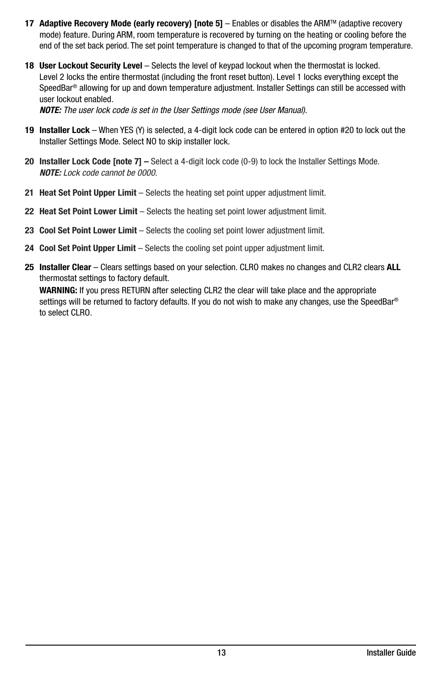- 17 Adaptive Recovery Mode (early recovery) [note 5] Enables or disables the ARM™ (adaptive recovery mode) feature. During ARM, room temperature is recovered by turning on the heating or cooling before the end of the set back period. The set point temperature is changed to that of the upcoming program temperature.
- 18 User Lockout Security Level Selects the level of keypad lockout when the thermostat is locked. Level 2 locks the entire thermostat (including the front reset button). Level 1 locks everything except the SpeedBar® allowing for up and down temperature adjustment. Installer Settings can still be accessed with user lockout enabled.

*NOTE: The user lock code is set in the User Settings mode (see User Manual).*

- 19 Installer Lock When YES (Y) is selected, a 4-digit lock code can be entered in option #20 to lock out the Installer Settings Mode. Select NO to skip installer lock.
- 20 Installer Lock Code [note 7] Select a 4-digit lock code (0-9) to lock the Installer Settings Mode. *NOTE: Lock code cannot be 0000.*
- 21 Heat Set Point Upper Limit Selects the heating set point upper adjustment limit.
- 22 Heat Set Point Lower Limit Selects the heating set point lower adjustment limit.
- 23 Cool Set Point Lower Limit Selects the cooling set point lower adjustment limit.
- 24 Cool Set Point Upper Limit Selects the cooling set point upper adjustment limit.
- 25 Installer Clear Clears settings based on your selection. CLRO makes no changes and CLR2 clears ALL thermostat settings to factory default.

WARNING: If you press RETURN after selecting CLR2 the clear will take place and the appropriate settings will be returned to factory defaults. If you do not wish to make any changes, use the SpeedBar® to select CLRO.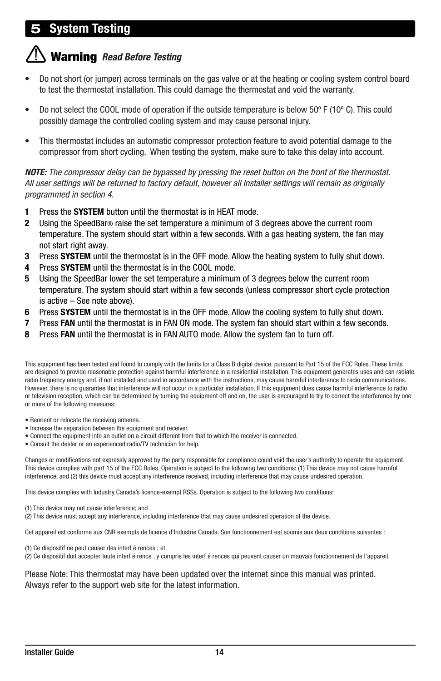# vstem Testina

# Warning *Read Before Testing*

- Do not short (or jumper) across terminals on the gas valve or at the heating or cooling system control board to test the thermostat installation. This could damage the thermostat and void the warranty.
- Do not select the COOL mode of operation if the outside temperature is below 50º F (10º C). This could possibly damage the controlled cooling system and may cause personal injury.
- This thermostat includes an automatic compressor protection feature to avoid potential damage to the compressor from short cycling. When testing the system, make sure to take this delay into account.

*NOTE: The compressor delay can be bypassed by pressing the reset button on the front of the thermostat. All user settings will be returned to factory default, however all Installer settings will remain as originally programmed in section 4.*

- 1 Press the SYSTEM button until the thermostat is in HEAT mode.
- 2 Using the SpeedBar® raise the set temperature a minimum of 3 degrees above the current room temperature. The system should start within a few seconds. With a gas heating system, the fan may not start right away.
- **3** Press SYSTEM until the thermostat is in the OFF mode. Allow the heating system to fully shut down.
- 4 Press SYSTEM until the thermostat is in the COOL mode.
- 5 Using the SpeedBar lower the set temperature a minimum of 3 degrees below the current room temperature. The system should start within a few seconds (unless compressor short cycle protection is active – See note above).
- 6 Press SYSTEM until the thermostat is in the OFF mode. Allow the cooling system to fully shut down.
- 7 Press FAN until the thermostat is in FAN ON mode. The system fan should start within a few seconds.
- 8 Press FAN until the thermostat is in FAN AUTO mode. Allow the system fan to turn off.

This equipment has been tested and found to comply with the limits for a Class B digital device, pursuant to Part 15 of the FCC Rules. These limits are designed to provide reasonable protection against harmful interference in a residential installation. This equipment generates uses and can radiate radio frequency energy and, if not installed and used in accordance with the instructions, may cause harmful interference to radio communications. However, there is no guarantee that interference will not occur in a particular installation. If this equipment does cause harmful interference to radio or television reception, which can be determined by turning the equipment off and on, the user is encouraged to try to correct the interference by one or more of the following measures:

- Reorient or relocate the receiving antenna.
- Increase the separation between the equipment and receiver.
- Connect the equipment into an outlet on a circuit different from that to which the receiver is connected.
- Consult the dealer or an experienced radio/TV technician for help.

Changes or modifications not expressly approved by the party responsible for compliance could void the user's authority to operate the equipment. This device complies with part 15 of the FCC Rules. Operation is subject to the following two conditions: (1) This device may not cause harmful interference, and (2) this device must accept any interference received, including interference that may cause undesired operation.

This device complies with Industry Canada's licence-exempt RSSs. Operation is subject to the following two conditions:

(1) This device may not cause interference; and

(2) This device must accept any interference, including interference that may cause undesired operation of the device.

Cet appareil est conforme aux CNR exempts de licence d'Industrie Canada. Son fonctionnement est soumis aux deux conditions suivantes :

(1) Ce dispositif ne peut causer des interf é rences ; et

(2) Ce dispositif doit accepter toute interf é rence , y compris les interf é rences qui peuvent causer un mauvais fonctionnement de l'appareil.

Please Note: This thermostat may have been updated over the internet since this manual was printed. Always refer to the support web site for the latest information.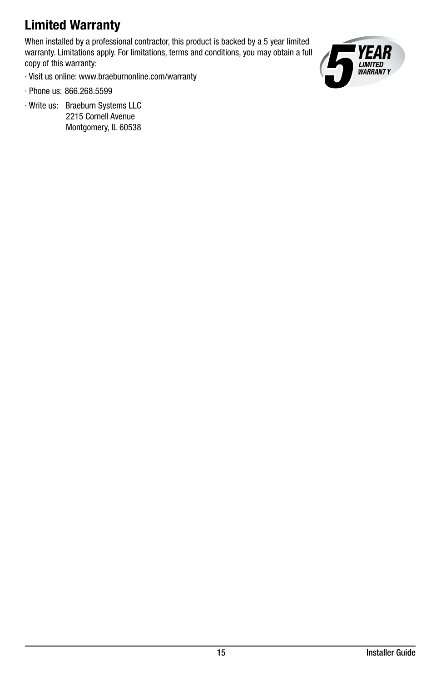# Limited Warranty

When installed by a professional contractor, this product is backed by a 5 year limited warranty. Limitations apply. For limitations, terms and conditions, you may obtain a full copy of this warranty:



- · Visit us online: www.braeburnonline.com/warranty
- · Phone us: 866.268.5599
- · Write us: Braeburn Systems LLC 2215 Cornell Avenue Montgomery, IL 60538